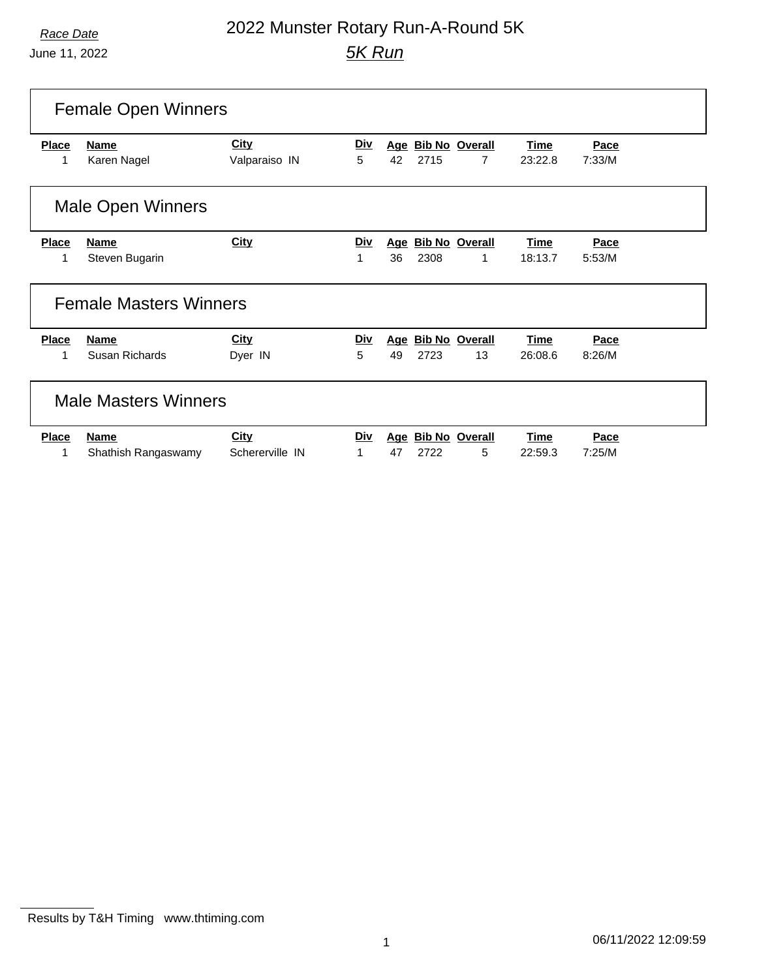# *Race Date* 2022 Munster Rotary Run-A-Round 5K *5K Run*

| <b>Female Open Winners</b> |                               |                       |                 |    |      |                         |                        |                |  |
|----------------------------|-------------------------------|-----------------------|-----------------|----|------|-------------------------|------------------------|----------------|--|
| <b>Place</b><br>1          | <b>Name</b><br>Karen Nagel    | City<br>Valparaiso IN | <b>Div</b><br>5 | 42 | 2715 | Age Bib No Overall<br>7 | <b>Time</b><br>23:22.8 | Pace<br>7:33/M |  |
|                            |                               |                       |                 |    |      |                         |                        |                |  |
|                            | <b>Male Open Winners</b>      |                       |                 |    |      |                         |                        |                |  |
| <b>Place</b>               | <b>Name</b>                   | <b>City</b>           | <b>Div</b>      |    |      | Age Bib No Overall      | <b>Time</b>            | Pace           |  |
| 1                          | Steven Bugarin                |                       | 1               | 36 | 2308 | 1                       | 18:13.7                | 5:53/M         |  |
|                            | <b>Female Masters Winners</b> |                       |                 |    |      |                         |                        |                |  |
| <b>Place</b>               | <b>Name</b>                   | <b>City</b>           | <u>Div</u>      |    |      | Age Bib No Overall      | Time                   | Pace           |  |
| $\mathbf{1}$               | Susan Richards                | Dyer IN               | 5               | 49 | 2723 | 13                      | 26:08.6                | 8:26/M         |  |
|                            | <b>Male Masters Winners</b>   |                       |                 |    |      |                         |                        |                |  |
| <b>Place</b>               | <b>Name</b>                   | <b>City</b>           | Div             |    |      | Age Bib No Overall      | <b>Time</b>            | Pace           |  |
| 1                          | Shathish Rangaswamy           | Schererville IN       | 1               | 47 | 2722 | 5                       | 22:59.3                | 7:25/M         |  |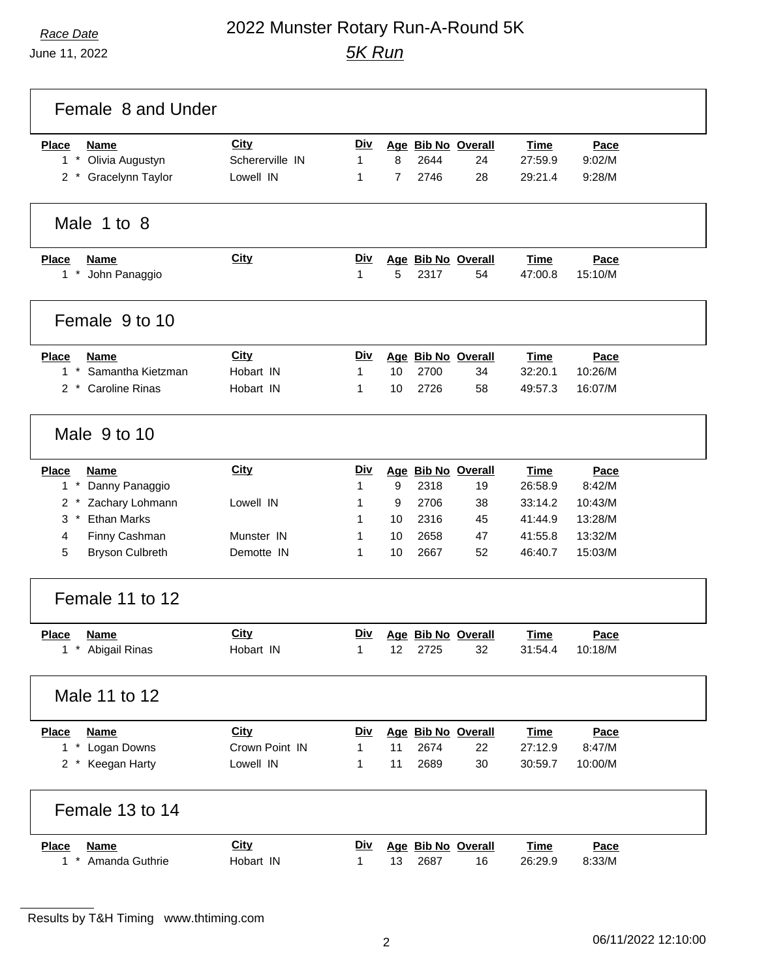# *Race Date* 2022 Munster Rotary Run-A-Round 5K *5K Run*

| Female 8 and Under                                      |                         |                 |                |              |                          |                        |                    |  |
|---------------------------------------------------------|-------------------------|-----------------|----------------|--------------|--------------------------|------------------------|--------------------|--|
| <b>Place</b><br><b>Name</b><br>$1$ *<br>Olivia Augustyn | City<br>Schererville IN | <u>Div</u><br>1 | 8              | 2644         | Age Bib No Overall<br>24 | <b>Time</b><br>27:59.9 | Pace<br>9:02/M     |  |
| 2 * Gracelynn Taylor                                    | Lowell IN               | 1               | $\overline{7}$ | 2746         | 28                       | 29:21.4                | 9:28/M             |  |
| Male 1 to 8                                             |                         |                 |                |              |                          |                        |                    |  |
| <b>Place</b><br>Name<br>$1*$<br>John Panaggio           | <b>City</b>             | <u>Div</u><br>1 | 5              | 2317         | Age Bib No Overall<br>54 | <b>Time</b><br>47:00.8 | Pace<br>15:10/M    |  |
| Female 9 to 10                                          |                         |                 |                |              |                          |                        |                    |  |
| <b>Place</b><br><b>Name</b><br>$1 *$                    | City                    | <u>Div</u>      |                |              | Age Bib No Overall       | <b>Time</b>            | Pace               |  |
| Samantha Kietzman<br>2 * Caroline Rinas                 | Hobart IN<br>Hobart IN  | 1<br>1          | 10<br>10       | 2700<br>2726 | 34<br>58                 | 32:20.1<br>49:57.3     | 10:26/M<br>16:07/M |  |
| Male 9 to 10                                            |                         |                 |                |              |                          |                        |                    |  |
| <b>Place</b><br><b>Name</b><br>$1*$                     | <b>City</b>             | <u>Div</u><br>1 | 9              | 2318         | Age Bib No Overall<br>19 | <b>Time</b><br>26:58.9 | Pace<br>8:42/M     |  |
| Danny Panaggio<br>$2^*$<br>Zachary Lohmann              | Lowell IN               | 1               | 9              | 2706         | 38                       | 33:14.2                | 10:43/M            |  |
| <b>Ethan Marks</b><br>$3 *$                             |                         | 1               | 10             | 2316         | 45                       | 41:44.9                | 13:28/M            |  |
| Finny Cashman<br>4                                      | Munster IN              | 1               | 10             | 2658         | 47                       | 41:55.8                | 13:32/M            |  |
| 5<br><b>Bryson Culbreth</b>                             | Demotte IN              | 1               | 10             | 2667         | 52                       | 46:40.7                | 15:03/M            |  |
| Female 11 to 12                                         |                         |                 |                |              |                          |                        |                    |  |
| <b>Place</b><br><b>Name</b>                             | <b>City</b>             | <b>Div</b>      |                |              | Age Bib No Overall       | <b>Time</b>            | <b>Pace</b>        |  |
| * Abigail Rinas                                         | Hobart IN               | $\mathbf{1}$    | 12             | 2725         | 32                       | 31:54.4                | 10:18/M            |  |
| Male 11 to 12                                           |                         |                 |                |              |                          |                        |                    |  |
| <b>Name</b><br><b>Place</b>                             | City                    | <u>Div</u>      |                |              | Age Bib No Overall       | <b>Time</b>            | Pace               |  |
| 1 * Logan Downs                                         | Crown Point IN          | 1               | 11             | 2674         | 22                       | 27:12.9                | 8:47/M             |  |
| 2 * Keegan Harty                                        | Lowell IN               | 1               | 11             | 2689         | 30                       | 30:59.7                | 10:00/M            |  |
| Female 13 to 14                                         |                         |                 |                |              |                          |                        |                    |  |
| <b>Place</b><br><b>Name</b><br>1 * Amanda Guthrie       | City<br>Hobart IN       | <u>Div</u>      | 13             | 2687         | Age Bib No Overall<br>16 | <b>Time</b><br>26:29.9 | Pace<br>8:33/M     |  |
|                                                         |                         | 1               |                |              |                          |                        |                    |  |

Results by T&H Timing www.thtiming.com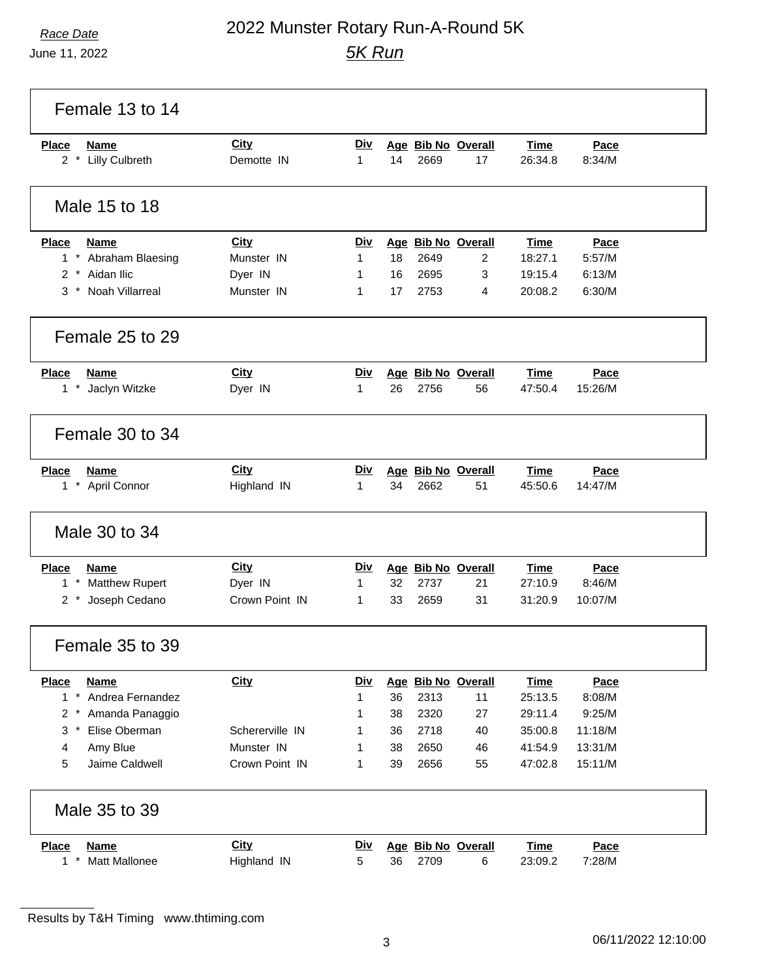# *Race Date* 2022 Munster Rotary Run-A-Round 5K *5K Run*

| Female 13 to 14                                      |                              |                            |          |              |                          |                        |                    |  |
|------------------------------------------------------|------------------------------|----------------------------|----------|--------------|--------------------------|------------------------|--------------------|--|
| <b>Name</b><br><b>Place</b><br>2 * Lilly Culbreth    | <b>City</b><br>Demotte IN    | <b>Div</b><br>$\mathbf{1}$ | 14       | 2669         | Age Bib No Overall<br>17 | <b>Time</b><br>26:34.8 | Pace<br>8:34/M     |  |
| Male 15 to 18                                        |                              |                            |          |              |                          |                        |                    |  |
| <b>Place</b><br><b>Name</b>                          | City                         | Div                        |          |              | Age Bib No Overall       | <b>Time</b>            | Pace               |  |
| 1 * Abraham Blaesing                                 | Munster IN                   | 1                          | 18       | 2649         | 2                        | 18:27.1                | 5:57/M             |  |
| 2 * Aidan Ilic                                       | Dyer IN                      | 1                          | 16       | 2695         | 3                        | 19:15.4                | 6:13/M             |  |
| 3 * Noah Villarreal                                  | Munster IN                   | 1                          | 17       | 2753         | 4                        | 20:08.2                | 6:30/M             |  |
| Female 25 to 29                                      |                              |                            |          |              |                          |                        |                    |  |
| <b>Place</b><br><b>Name</b>                          | <b>City</b>                  | Div                        |          |              | Age Bib No Overall       | Time                   | Pace               |  |
| $1 *$<br>Jaclyn Witzke                               | Dyer IN                      | $\mathbf 1$                | 26       | 2756         | 56                       | 47:50.4                | 15:26/M            |  |
| Female 30 to 34                                      |                              |                            |          |              |                          |                        |                    |  |
| <b>Place</b><br><b>Name</b>                          | <b>City</b>                  | <b>Div</b>                 |          |              | Age Bib No Overall       | <b>Time</b>            | Pace               |  |
| 1 * April Connor                                     | Highland IN                  | 1                          | 34       | 2662         | 51                       | 45:50.6                | 14:47/M            |  |
| Male 30 to 34                                        |                              |                            |          |              |                          |                        |                    |  |
| <b>Place</b><br><b>Name</b>                          | City                         | <u>Div</u>                 |          |              | Age Bib No Overall       | <b>Time</b>            | Pace               |  |
| <b>Matthew Rupert</b><br>$1*$                        | Dyer IN                      | 1                          | 32       | 2737         | 21                       | 27:10.9                | 8:46/M             |  |
| Joseph Cedano<br>$2^*$                               | Crown Point IN               | 1                          | 33       | 2659         | 31                       | 31:20.9                | 10:07/M            |  |
| Female 35 to 39                                      |                              |                            |          |              |                          |                        |                    |  |
| <b>Place</b><br><b>Name</b>                          | <b>City</b>                  | <u>Div</u>                 |          |              | Age Bib No Overall       | <b>Time</b>            | Pace               |  |
| 1 * Andrea Fernandez                                 |                              | 1                          | 36       | 2313         | 11                       | 25:13.5                | 8:08/M             |  |
| 2 * Amanda Panaggio                                  |                              | 1                          | 38       | 2320         | 27                       | 29:11.4                | 9:25/M             |  |
| Elise Oberman<br>3<br>$\star$<br>Amy Blue            | Schererville IN              | 1                          | 36       | 2718         | 40                       | 35:00.8                | 11:18/M            |  |
| 4<br>Jaime Caldwell<br>5                             | Munster IN<br>Crown Point IN | 1<br>1                     | 38<br>39 | 2650<br>2656 | 46<br>55                 | 41:54.9<br>47:02.8     | 13:31/M<br>15:11/M |  |
|                                                      |                              |                            |          |              |                          |                        |                    |  |
| Male 35 to 39                                        |                              |                            |          |              |                          |                        |                    |  |
| <b>Place</b><br><b>Name</b><br>$1*$<br>Matt Mallonee | <b>City</b><br>Highland IN   | <u>Div</u><br>5            | 36       | 2709         | Age Bib No Overall<br>6  | <b>Time</b><br>23:09.2 | Pace<br>7:28/M     |  |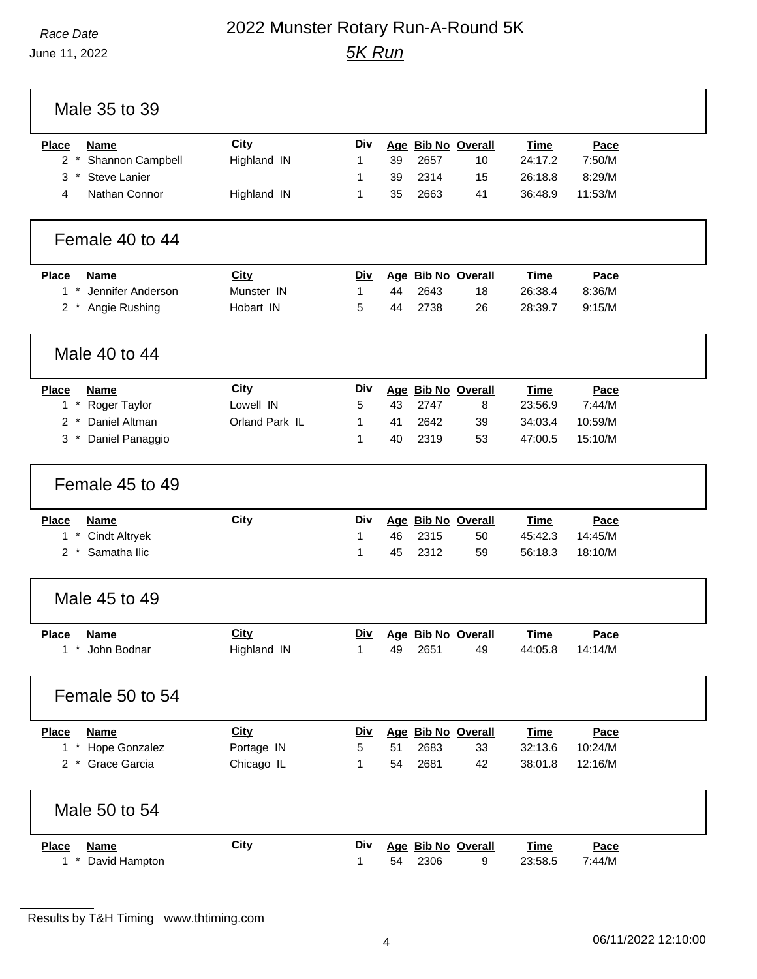# *Race Date* 2022 Munster Rotary Run-A-Round 5K *5K Run*

| <b>Place</b><br>Name          | City           | Div          |    |      | Age Bib No Overall | <b>Time</b> | Pace        |
|-------------------------------|----------------|--------------|----|------|--------------------|-------------|-------------|
| $2 *$<br>Shannon Campbell     | Highland IN    | 1            | 39 | 2657 | 10                 | 24:17.2     | 7:50/M      |
| <b>Steve Lanier</b><br>$3*$   |                | 1            | 39 | 2314 | 15                 | 26:18.8     | 8:29/M      |
| Nathan Connor<br>4            | Highland IN    | 1            | 35 | 2663 | 41                 | 36:48.9     | 11:53/M     |
| Female 40 to 44               |                |              |    |      |                    |             |             |
| <b>Place</b><br><b>Name</b>   | <b>City</b>    | Div          |    |      | Age Bib No Overall | <b>Time</b> | Pace        |
| $1*$<br>Jennifer Anderson     | Munster IN     | $\mathbf{1}$ | 44 | 2643 | 18                 | 26:38.4     | 8:36/M      |
| Angie Rushing<br>$2^*$        | Hobart IN      | 5            | 44 | 2738 | 26                 | 28:39.7     | 9:15/M      |
| Male 40 to 44                 |                |              |    |      |                    |             |             |
| <b>Place</b><br><b>Name</b>   | <b>City</b>    | Div          |    |      | Age Bib No Overall | <b>Time</b> | Pace        |
| $1 *$<br>Roger Taylor         | Lowell IN      | 5            | 43 | 2747 | 8                  | 23:56.9     | 7:44/M      |
| Daniel Altman<br>2<br>$\star$ | Orland Park IL | 1            | 41 | 2642 | 39                 | 34:03.4     | 10:59/M     |
| Daniel Panaggio<br>$3*$       |                | 1            | 40 | 2319 | 53                 | 47:00.5     | 15:10/M     |
| Female 45 to 49               |                |              |    |      |                    |             |             |
| <b>Place</b><br><b>Name</b>   | City           | Div          |    |      | Age Bib No Overall | <b>Time</b> | Pace        |
| <b>Cindt Altryek</b><br>$1*$  |                | 1            | 46 | 2315 | 50                 | 45:42.3     | 14:45/M     |
| Samatha Ilic<br>$2 *$         |                | 1            | 45 | 2312 | 59                 | 56:18.3     | 18:10/M     |
| Male 45 to 49                 |                |              |    |      |                    |             |             |
| Place<br><b>Name</b>          | City           | Div          |    |      | Age Bib No Overall | <b>Time</b> | Pace        |
| 1 * John Bodnar               | Highland IN    | 1            | 49 | 2651 | 49                 | 44:05.8     | 14:14/M     |
| Female 50 to 54               |                |              |    |      |                    |             |             |
| <b>Place</b><br><b>Name</b>   | <b>City</b>    | <u>Div</u>   |    |      | Age Bib No Overall | <b>Time</b> | <b>Pace</b> |
| 1 * Hope Gonzalez             | Portage IN     | 5            | 51 | 2683 | 33                 | 32:13.6     | 10:24/M     |
| 2 * Grace Garcia              | Chicago IL     | 1            | 54 | 2681 | 42                 | 38:01.8     | 12:16/M     |
| Male 50 to 54                 |                |              |    |      |                    |             |             |
| <b>Name</b><br><b>Place</b>   | <b>City</b>    | <u>Div</u>   |    |      | Age Bib No Overall | <b>Time</b> | Pace        |
| 1 * David Hampton             |                | 1            | 54 | 2306 | 9                  | 23:58.5     | 7:44/M      |

Results by T&H Timing www.thtiming.com